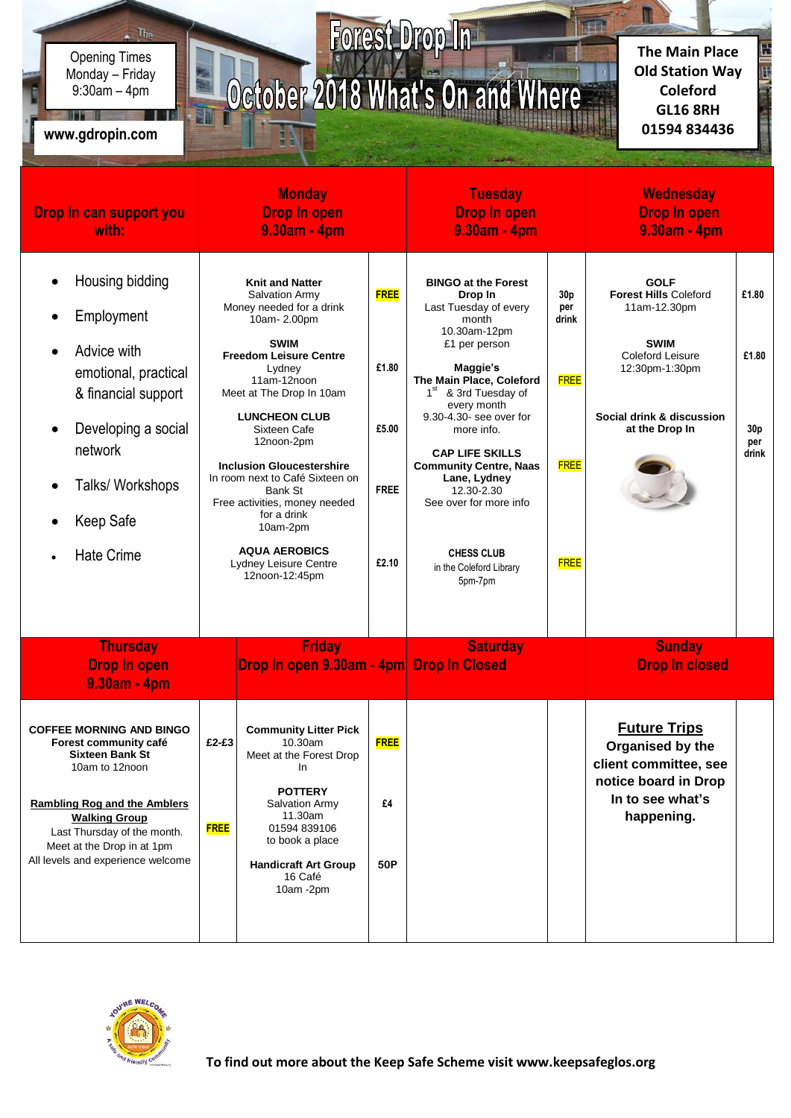Monday – Friday Opening Times 9:30am – 4pm

 $\sim$  The

in a based of the

## **01594 834436 www.gdropin.com**

## Forest Drop In October 2018 What's On and Where

**The Main Place Old Station Way Coleford GL16 8RH**

Ē

| Drop In can support you<br>with:                                                                                                                                                                                                                                      | <b>Monday</b><br><b>Drop In open</b><br>9.30am - 4pm |                                                                                                                                                                                                                                                                                                                                                                                                                                                                 |                                                       | <b>Tuesday</b><br><b>Drop In open</b><br>9.30am - 4pm                                                                                                                                                                                                                                                                                                                                                                      |                                                                  | <b>Wednesday</b><br><b>Drop In open</b><br>9.30am - 4pm                                                                                                                |                                                   |
|-----------------------------------------------------------------------------------------------------------------------------------------------------------------------------------------------------------------------------------------------------------------------|------------------------------------------------------|-----------------------------------------------------------------------------------------------------------------------------------------------------------------------------------------------------------------------------------------------------------------------------------------------------------------------------------------------------------------------------------------------------------------------------------------------------------------|-------------------------------------------------------|----------------------------------------------------------------------------------------------------------------------------------------------------------------------------------------------------------------------------------------------------------------------------------------------------------------------------------------------------------------------------------------------------------------------------|------------------------------------------------------------------|------------------------------------------------------------------------------------------------------------------------------------------------------------------------|---------------------------------------------------|
| Housing bidding<br>Employment<br>Advice with<br>emotional, practical<br>& financial support<br>Developing a social<br>network<br>Talks/ Workshops<br>Keep Safe<br><b>Hate Crime</b>                                                                                   |                                                      | <b>Knit and Natter</b><br>Salvation Army<br>Money needed for a drink<br>10am-2.00pm<br><b>SWIM</b><br><b>Freedom Leisure Centre</b><br>Lydney<br>11am-12noon<br>Meet at The Drop In 10am<br><b>LUNCHEON CLUB</b><br>Sixteen Cafe<br>12noon-2pm<br><b>Inclusion Gloucestershire</b><br>In room next to Café Sixteen on<br>Bank St<br>Free activities, money needed<br>for a drink<br>10am-2pm<br><b>AQUA AEROBICS</b><br>Lydney Leisure Centre<br>12noon-12:45pm | <b>FREE</b><br>£1.80<br>£5.00<br><b>FREE</b><br>£2.10 | <b>BINGO at the Forest</b><br>Drop In<br>Last Tuesday of every<br>month<br>10.30am-12pm<br>£1 per person<br>Maggie's<br>The Main Place, Coleford<br>1 <sup>st</sup> & 3rd Tuesday of<br>every month<br>9.30-4.30- see over for<br>more info.<br><b>CAP LIFE SKILLS</b><br><b>Community Centre, Naas</b><br>Lane, Lydney<br>12.30-2.30<br>See over for more info<br><b>CHESS CLUB</b><br>in the Coleford Library<br>5pm-7pm | 30p<br>per<br>drink<br><b>FREE</b><br><b>FREE</b><br><b>FREE</b> | <b>GOLF</b><br><b>Forest Hills Coleford</b><br>11am-12.30pm<br><b>SWIM</b><br><b>Coleford Leisure</b><br>12:30pm-1:30pm<br>Social drink & discussion<br>at the Drop In | £1.80<br>£1.80<br>30 <sub>p</sub><br>per<br>drink |
| <b>Thursday</b><br><b>Drop In open</b><br>9.30am - 4pm                                                                                                                                                                                                                |                                                      | <b>Friday</b><br>Drop In open 9.30am - 4pm Drop In Closed                                                                                                                                                                                                                                                                                                                                                                                                       |                                                       | <b>Saturday</b>                                                                                                                                                                                                                                                                                                                                                                                                            |                                                                  | <b>Sunday</b><br><b>Drop In closed</b>                                                                                                                                 |                                                   |
| <b>COFFEE MORNING AND BINGO</b><br>Forest community café<br><b>Sixteen Bank St</b><br>10am to 12noon<br><b>Rambling Rog and the Amblers</b><br><b>Walking Group</b><br>Last Thursday of the month.<br>Meet at the Drop in at 1pm<br>All levels and experience welcome | $£2-E3$<br><b>FREE</b>                               | <b>Community Litter Pick</b><br>10.30am<br>Meet at the Forest Drop<br>In<br><b>POTTERY</b><br><b>Salvation Army</b><br>11.30am<br>01594 839106<br>to book a place<br><b>Handicraft Art Group</b><br>16 Café<br>10am -2pm                                                                                                                                                                                                                                        | <b>FREE</b><br>£4<br>50P                              |                                                                                                                                                                                                                                                                                                                                                                                                                            |                                                                  | <b>Future Trips</b><br>Organised by the<br>client committee, see<br>notice board in Drop<br>In to see what's<br>happening.                                             |                                                   |